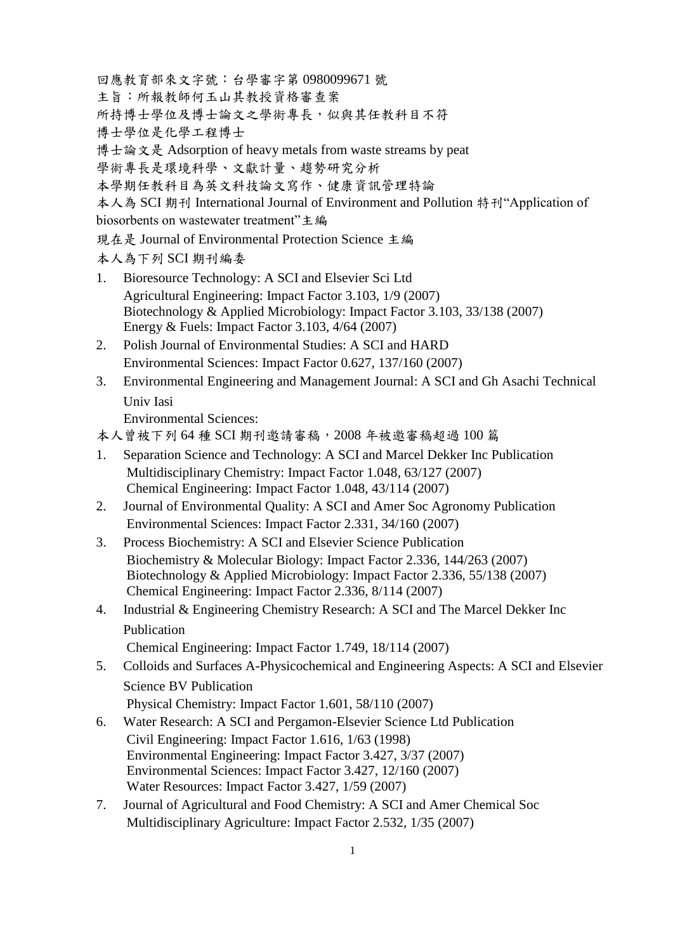回應教育部來文字號:台學審字第 0980099671 號 主旨:所報教師何玉山其教授資格審查案 所持博士學位及博士論文之學術專長,似與其任教科目不符 博士學位是化學工程博士 博士論文是 Adsorption of heavy metals from waste streams by peat 學術專長是環境科學、文獻計量、趨勢研究分析 本學期任教科目為英文科技論文寫作、健康資訊管理特論 本人為 SCI 期刊 International Journal of Environment and Pollution 特刊"Application of biosorbents on wastewater treatment"主編 現在是 Journal of Environmental Protection Science 主編 本人為下列 SCI 期刊編委

- 1. Bioresource Technology: A SCI and Elsevier Sci Ltd Agricultural Engineering: Impact Factor 3.103, 1/9 (2007) Biotechnology & Applied Microbiology: Impact Factor 3.103, 33/138 (2007) Energy & Fuels: Impact Factor 3.103, 4/64 (2007)
- 2. Polish Journal of Environmental Studies: A SCI and HARD Environmental Sciences: Impact Factor 0.627, 137/160 (2007)
- 3. Environmental Engineering and Management Journal: A SCI and Gh Asachi Technical Univ Iasi

Environmental Sciences:

本人曾被下列 64 種 SCI 期刊邀請審稿,2008 年被邀審稿超過 100 篇

- 1. Separation Science and Technology: A SCI and Marcel Dekker Inc Publication Multidisciplinary Chemistry: Impact Factor 1.048, 63/127 (2007) Chemical Engineering: Impact Factor 1.048, 43/114 (2007)
- 2. Journal of Environmental Quality: A SCI and Amer Soc Agronomy Publication Environmental Sciences: Impact Factor 2.331, 34/160 (2007)
- 3. Process Biochemistry: A SCI and Elsevier Science Publication Biochemistry & Molecular Biology: Impact Factor 2.336, 144/263 (2007) Biotechnology & Applied Microbiology: Impact Factor 2.336, 55/138 (2007) Chemical Engineering: Impact Factor 2.336, 8/114 (2007)
- 4. Industrial & Engineering Chemistry Research: A SCI and The Marcel Dekker Inc Publication

Chemical Engineering: Impact Factor 1.749, 18/114 (2007)

5. Colloids and Surfaces A-Physicochemical and Engineering Aspects: A SCI and Elsevier Science BV Publication

Physical Chemistry: Impact Factor 1.601, 58/110 (2007)

- 6. Water Research: A SCI and Pergamon-Elsevier Science Ltd Publication Civil Engineering: Impact Factor 1.616, 1/63 (1998) Environmental Engineering: Impact Factor 3.427, 3/37 (2007) Environmental Sciences: Impact Factor 3.427, 12/160 (2007) Water Resources: Impact Factor 3.427, 1/59 (2007)
- 7. Journal of Agricultural and Food Chemistry: A SCI and Amer Chemical Soc Multidisciplinary Agriculture: Impact Factor 2.532, 1/35 (2007)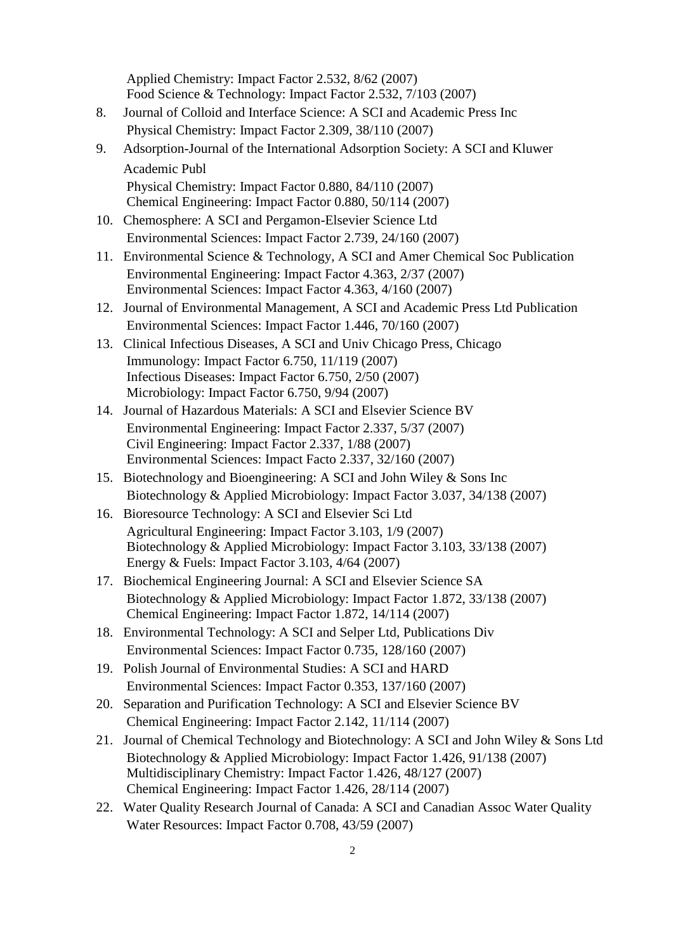2 Applied Chemistry: Impact Factor 2.532, 8/62 (2007) Food Science & Technology: Impact Factor 2.532, 7/103 (2007) 8. Journal of Colloid and Interface Science: A SCI and Academic Press Inc Physical Chemistry: Impact Factor 2.309, 38/110 (2007) 9. Adsorption-Journal of the International Adsorption Society: A SCI and Kluwer Academic Publ Physical Chemistry: Impact Factor 0.880, 84/110 (2007) Chemical Engineering: Impact Factor 0.880, 50/114 (2007) 10. Chemosphere: A SCI and Pergamon-Elsevier Science Ltd Environmental Sciences: Impact Factor 2.739, 24/160 (2007) 11. Environmental Science & Technology, A SCI and Amer Chemical Soc Publication Environmental Engineering: Impact Factor 4.363, 2/37 (2007) Environmental Sciences: Impact Factor 4.363, 4/160 (2007) 12. Journal of Environmental Management, A SCI and Academic Press Ltd Publication Environmental Sciences: Impact Factor 1.446, 70/160 (2007) 13. Clinical Infectious Diseases, A SCI and Univ Chicago Press, Chicago Immunology: Impact Factor 6.750, 11/119 (2007) Infectious Diseases: Impact Factor 6.750, 2/50 (2007) Microbiology: Impact Factor 6.750, 9/94 (2007) 14. Journal of Hazardous Materials: A SCI and Elsevier Science BV Environmental Engineering: Impact Factor 2.337, 5/37 (2007) Civil Engineering: Impact Factor 2.337, 1/88 (2007) Environmental Sciences: Impact Facto 2.337, 32/160 (2007) 15. Biotechnology and Bioengineering: A SCI and John Wiley & Sons Inc Biotechnology & Applied Microbiology: Impact Factor 3.037, 34/138 (2007) 16. Bioresource Technology: A SCI and Elsevier Sci Ltd Agricultural Engineering: Impact Factor 3.103, 1/9 (2007) Biotechnology & Applied Microbiology: Impact Factor 3.103, 33/138 (2007) Energy & Fuels: Impact Factor 3.103, 4/64 (2007) 17. Biochemical Engineering Journal: A SCI and Elsevier Science SA Biotechnology & Applied Microbiology: Impact Factor 1.872, 33/138 (2007) Chemical Engineering: Impact Factor 1.872, 14/114 (2007) 18. Environmental Technology: A SCI and Selper Ltd, Publications Div Environmental Sciences: Impact Factor 0.735, 128/160 (2007) 19. Polish Journal of Environmental Studies: A SCI and HARD Environmental Sciences: Impact Factor 0.353, 137/160 (2007) 20. Separation and Purification Technology: A SCI and Elsevier Science BV Chemical Engineering: Impact Factor 2.142, 11/114 (2007) 21. Journal of Chemical Technology and Biotechnology: A SCI and John Wiley & Sons Ltd Biotechnology & Applied Microbiology: Impact Factor 1.426, 91/138 (2007) Multidisciplinary Chemistry: Impact Factor 1.426, 48/127 (2007) Chemical Engineering: Impact Factor 1.426, 28/114 (2007) 22. Water Quality Research Journal of Canada: A SCI and Canadian Assoc Water Quality Water Resources: Impact Factor 0.708, 43/59 (2007)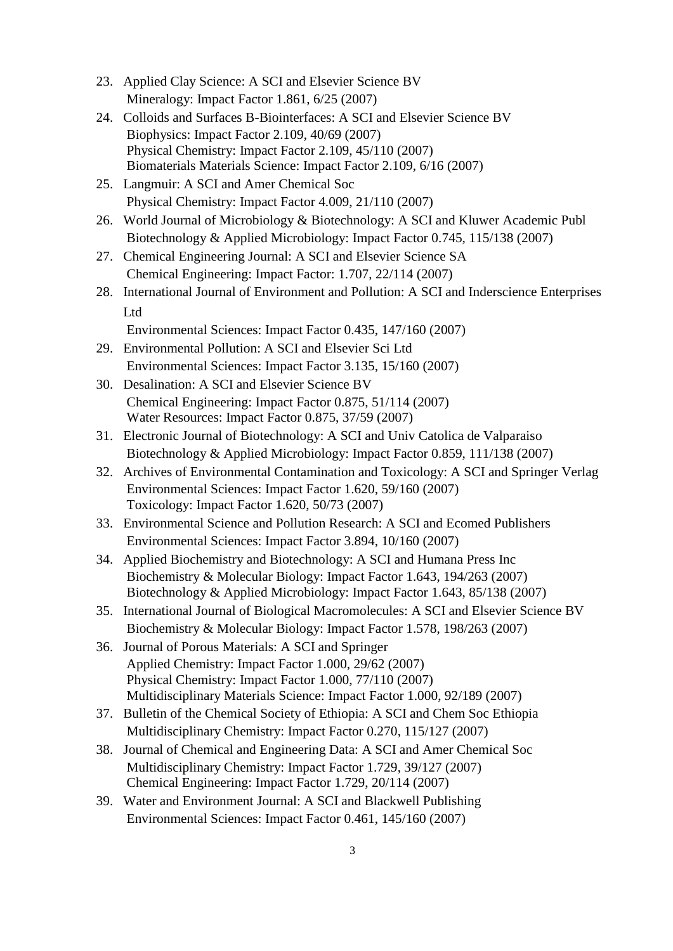- 23. Applied Clay Science: A SCI and Elsevier Science BV Mineralogy: Impact Factor 1.861, 6/25 (2007)
- 24. Colloids and Surfaces B-Biointerfaces: A SCI and Elsevier Science BV Biophysics: Impact Factor 2.109, 40/69 (2007) Physical Chemistry: Impact Factor 2.109, 45/110 (2007) Biomaterials Materials Science: Impact Factor 2.109, 6/16 (2007)
- 25. Langmuir: A SCI and Amer Chemical Soc Physical Chemistry: Impact Factor 4.009, 21/110 (2007)
- 26. World Journal of Microbiology & Biotechnology: A SCI and Kluwer Academic Publ Biotechnology & Applied Microbiology: Impact Factor 0.745, 115/138 (2007)
- 27. Chemical Engineering Journal: A SCI and Elsevier Science SA Chemical Engineering: Impact Factor: 1.707, 22/114 (2007)
- 28. International Journal of Environment and Pollution: A SCI and Inderscience Enterprises Ltd

Environmental Sciences: Impact Factor 0.435, 147/160 (2007)

- 29. Environmental Pollution: A SCI and Elsevier Sci Ltd Environmental Sciences: Impact Factor 3.135, 15/160 (2007)
- 30. Desalination: A SCI and Elsevier Science BV Chemical Engineering: Impact Factor 0.875, 51/114 (2007) Water Resources: Impact Factor 0.875, 37/59 (2007)
- 31. Electronic Journal of Biotechnology: A SCI and Univ Catolica de Valparaiso Biotechnology & Applied Microbiology: Impact Factor 0.859, 111/138 (2007)
- 32. Archives of Environmental Contamination and Toxicology: A SCI and Springer Verlag Environmental Sciences: Impact Factor 1.620, 59/160 (2007) Toxicology: Impact Factor 1.620, 50/73 (2007)
- 33. Environmental Science and Pollution Research: A SCI and Ecomed Publishers Environmental Sciences: Impact Factor 3.894, 10/160 (2007)
- 34. Applied Biochemistry and Biotechnology: A SCI and Humana Press Inc Biochemistry & Molecular Biology: Impact Factor 1.643, 194/263 (2007) Biotechnology & Applied Microbiology: Impact Factor 1.643, 85/138 (2007)
- 35. International Journal of Biological Macromolecules: A SCI and Elsevier Science BV Biochemistry & Molecular Biology: Impact Factor 1.578, 198/263 (2007)
- 36. Journal of Porous Materials: A SCI and Springer Applied Chemistry: Impact Factor 1.000, 29/62 (2007) Physical Chemistry: Impact Factor 1.000, 77/110 (2007) Multidisciplinary Materials Science: Impact Factor 1.000, 92/189 (2007)
- 37. Bulletin of the Chemical Society of Ethiopia: A SCI and Chem Soc Ethiopia Multidisciplinary Chemistry: Impact Factor 0.270, 115/127 (2007)
- 38. Journal of Chemical and Engineering Data: A SCI and Amer Chemical Soc Multidisciplinary Chemistry: Impact Factor 1.729, 39/127 (2007) Chemical Engineering: Impact Factor 1.729, 20/114 (2007)
- 39. Water and Environment Journal: A SCI and Blackwell Publishing Environmental Sciences: Impact Factor 0.461, 145/160 (2007)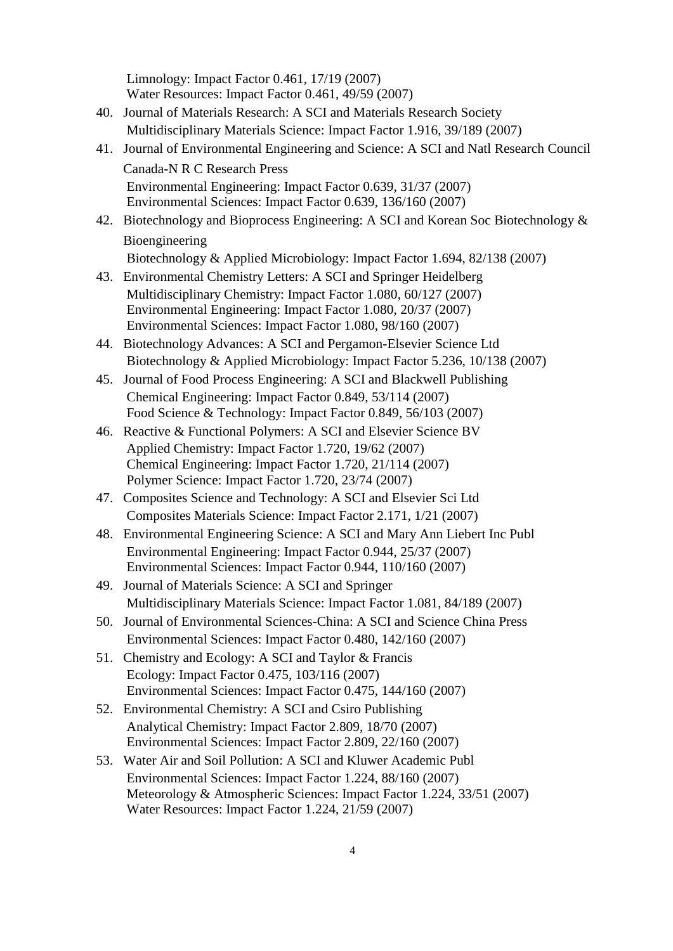|     | Limnology: Impact Factor 0.461, 17/19 (2007)<br>Water Resources: Impact Factor 0.461, 49/59 (2007)                        |
|-----|---------------------------------------------------------------------------------------------------------------------------|
| 40. | Journal of Materials Research: A SCI and Materials Research Society                                                       |
|     | Multidisciplinary Materials Science: Impact Factor 1.916, 39/189 (2007)                                                   |
| 41. | Journal of Environmental Engineering and Science: A SCI and Natl Research Council                                         |
|     | Canada-N R C Research Press                                                                                               |
|     | Environmental Engineering: Impact Factor 0.639, 31/37 (2007)                                                              |
|     | Environmental Sciences: Impact Factor 0.639, 136/160 (2007)                                                               |
|     | 42. Biotechnology and Bioprocess Engineering: A SCI and Korean Soc Biotechnology &                                        |
|     | Bioengineering                                                                                                            |
|     | Biotechnology & Applied Microbiology: Impact Factor 1.694, 82/138 (2007)                                                  |
|     | 43. Environmental Chemistry Letters: A SCI and Springer Heidelberg                                                        |
|     | Multidisciplinary Chemistry: Impact Factor 1.080, 60/127 (2007)                                                           |
|     | Environmental Engineering: Impact Factor 1.080, 20/37 (2007)                                                              |
|     | Environmental Sciences: Impact Factor 1.080, 98/160 (2007)                                                                |
| 44. | Biotechnology Advances: A SCI and Pergamon-Elsevier Science Ltd                                                           |
|     | Biotechnology & Applied Microbiology: Impact Factor 5.236, 10/138 (2007)                                                  |
| 45. | Journal of Food Process Engineering: A SCI and Blackwell Publishing                                                       |
|     | Chemical Engineering: Impact Factor 0.849, 53/114 (2007)<br>Food Science & Technology: Impact Factor 0.849, 56/103 (2007) |
|     | Reactive & Functional Polymers: A SCI and Elsevier Science BV                                                             |
| 46. | Applied Chemistry: Impact Factor 1.720, 19/62 (2007)                                                                      |
|     | Chemical Engineering: Impact Factor 1.720, 21/114 (2007)                                                                  |
|     | Polymer Science: Impact Factor 1.720, 23/74 (2007)                                                                        |
| 47. | Composites Science and Technology: A SCI and Elsevier Sci Ltd                                                             |
|     | Composites Materials Science: Impact Factor 2.171, 1/21 (2007)                                                            |
| 48. | Environmental Engineering Science: A SCI and Mary Ann Liebert Inc Publ                                                    |
|     | Environmental Engineering: Impact Factor 0.944, 25/37 (2007)                                                              |
|     | Environmental Sciences: Impact Factor 0.944, 110/160 (2007)                                                               |
| 49. | Journal of Materials Science: A SCI and Springer                                                                          |
|     | Multidisciplinary Materials Science: Impact Factor 1.081, 84/189 (2007)                                                   |
| 50. | Journal of Environmental Sciences-China: A SCI and Science China Press                                                    |
|     | Environmental Sciences: Impact Factor 0.480, 142/160 (2007)                                                               |
| 51. | Chemistry and Ecology: A SCI and Taylor & Francis                                                                         |
|     | Ecology: Impact Factor 0.475, 103/116 (2007)<br>Environmental Sciences: Impact Factor 0.475, 144/160 (2007)               |
| 52. | Environmental Chemistry: A SCI and Csiro Publishing                                                                       |
|     | Analytical Chemistry: Impact Factor 2.809, 18/70 (2007)                                                                   |
|     | Environmental Sciences: Impact Factor 2.809, 22/160 (2007)                                                                |
| 53. | Water Air and Soil Pollution: A SCI and Kluwer Academic Publ                                                              |
|     | Environmental Sciences: Impact Factor 1.224, 88/160 (2007)                                                                |
|     | Meteorology & Atmospheric Sciences: Impact Factor 1.224, 33/51 (2007)                                                     |
|     | Water Resources: Impact Factor 1.224, 21/59 (2007)                                                                        |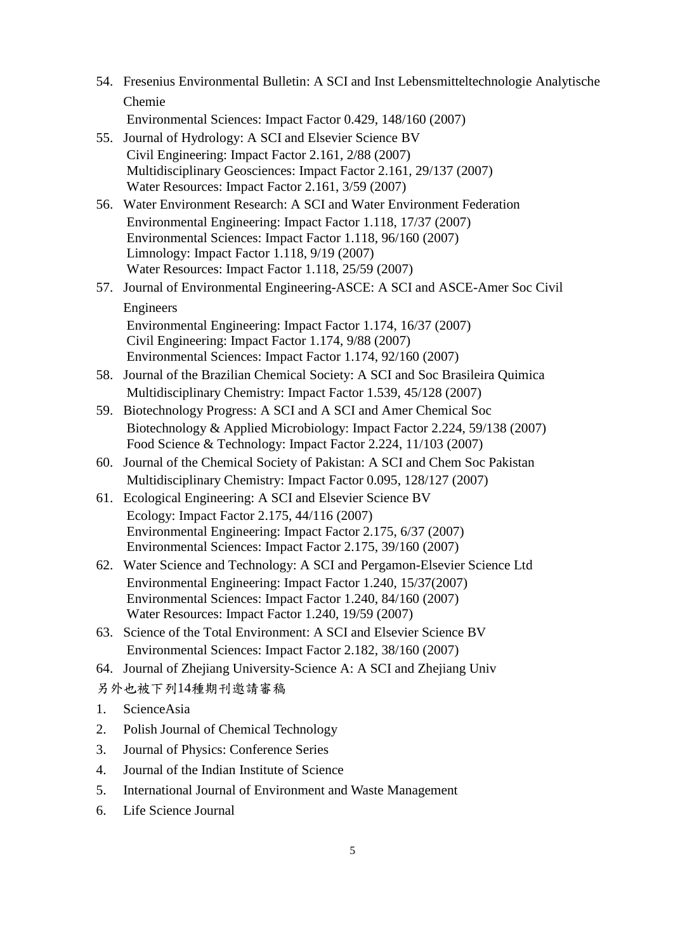54. Fresenius Environmental Bulletin: A SCI and Inst Lebensmitteltechnologie Analytische Chemie

Environmental Sciences: Impact Factor 0.429, 148/160 (2007)

- 55. Journal of Hydrology: A SCI and Elsevier Science BV Civil Engineering: Impact Factor 2.161, 2/88 (2007) Multidisciplinary Geosciences: Impact Factor 2.161, 29/137 (2007) Water Resources: Impact Factor 2.161, 3/59 (2007)
- 56. Water Environment Research: A SCI and Water Environment Federation Environmental Engineering: Impact Factor 1.118, 17/37 (2007) Environmental Sciences: Impact Factor 1.118, 96/160 (2007) Limnology: Impact Factor 1.118, 9/19 (2007) Water Resources: Impact Factor 1.118, 25/59 (2007)
- 57. Journal of Environmental Engineering-ASCE: A SCI and ASCE-Amer Soc Civil Engineers Environmental Engineering: Impact Factor 1.174, 16/37 (2007) Civil Engineering: Impact Factor 1.174, 9/88 (2007)

Environmental Sciences: Impact Factor 1.174, 92/160 (2007)

- 58. Journal of the Brazilian Chemical Society: A SCI and Soc Brasileira Quimica Multidisciplinary Chemistry: Impact Factor 1.539, 45/128 (2007)
- 59. Biotechnology Progress: A SCI and A SCI and Amer Chemical Soc Biotechnology & Applied Microbiology: Impact Factor 2.224, 59/138 (2007) Food Science & Technology: Impact Factor 2.224, 11/103 (2007)
- 60. Journal of the Chemical Society of Pakistan: A SCI and Chem Soc Pakistan Multidisciplinary Chemistry: Impact Factor 0.095, 128/127 (2007)
- 61. Ecological Engineering: A SCI and Elsevier Science BV Ecology: Impact Factor 2.175, 44/116 (2007) Environmental Engineering: Impact Factor 2.175, 6/37 (2007) Environmental Sciences: Impact Factor 2.175, 39/160 (2007)
- 62. Water Science and Technology: A SCI and Pergamon-Elsevier Science Ltd Environmental Engineering: Impact Factor 1.240, 15/37(2007) Environmental Sciences: Impact Factor 1.240, 84/160 (2007) Water Resources: Impact Factor 1.240, 19/59 (2007)
- 63. Science of the Total Environment: A SCI and Elsevier Science BV Environmental Sciences: Impact Factor 2.182, 38/160 (2007)
- 64. Journal of Zhejiang University-Science A: A SCI and Zhejiang Univ

另外也被下列14種期刊邀請審稿

- 1. ScienceAsia
- 2. Polish Journal of Chemical Technology
- 3. Journal of Physics: Conference Series
- 4. Journal of the Indian Institute of Science
- 5. International Journal of Environment and Waste Management
- 6. Life Science Journal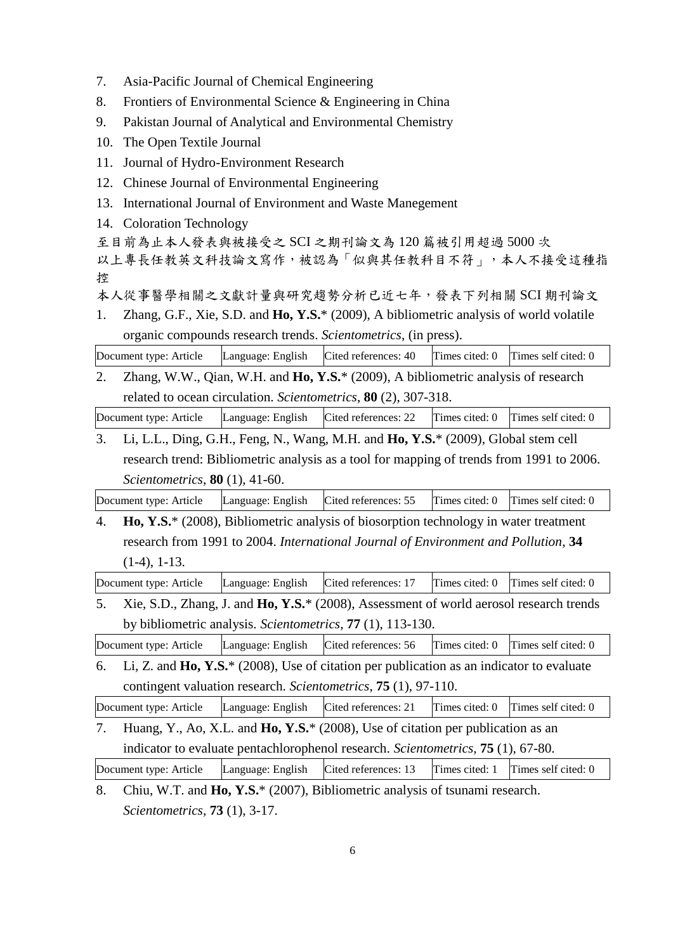- 7. Asia-Pacific Journal of Chemical Engineering
- 8. Frontiers of Environmental Science & Engineering in China
- 9. Pakistan Journal of Analytical and Environmental Chemistry
- 10. The Open Textile Journal
- 11. Journal of Hydro-Environment Research
- 12. Chinese Journal of Environmental Engineering
- 13. International Journal of Environment and Waste Manegement
- 14. Coloration Technology

至目前為止本人發表與被接受之 SCI 之期刊論文為 120 篇被引用超過 5000 次

以上專長任教英文科技論文寫作,被認為「似與其任教科目不符」,本人不接受這種指 控

本人從事醫學相關之文獻計量與研究趨勢分析已近七年,發表下列相關 SCI 期刊論文

1. Zhang, G.F., Xie, S.D. and **Ho, Y.S.**\* (2009), A bibliometric analysis of world volatile organic compounds research trends. *Scientometrics*, (in press).

Document type: Article Language: English Cited references: 40 Times cited: 0 Times self cited: 0

2. Zhang, W.W., Qian, W.H. and **Ho, Y.S.**\* (2009), A bibliometric analysis of research related to ocean circulation. *Scientometrics*, **80** (2), 307-318.

Document type: Article Language: English Cited references: 22 Times cited: 0 Times self cited: 0

3. Li, L.L., Ding, G.H., Feng, N., Wang, M.H. and **Ho, Y.S.**\* (2009), Global stem cell research trend: Bibliometric analysis as a tool for mapping of trends from 1991 to 2006. *Scientometrics*, **80** (1), 41-60.

Document type: Article | Language: English | Cited references: 55 | Times cited: 0 | Times self cited: 0

4. **Ho, Y.S.**\* (2008), Bibliometric analysis of biosorption technology in water treatment research from 1991 to 2004. *International Journal of Environment and Pollution*, **34** (1-4), 1-13.

Document type: Article Language: English Cited references: 17 Times cited: 0 Times self cited: 0

5. Xie, S.D., Zhang, J. and **Ho, Y.S.**\* (2008), Assessment of world aerosol research trends by bibliometric analysis. *Scientometrics*, **77** (1), 113-130.

Document type: Article Language: English Cited references: 56 Times cited: 0 Times self cited: 0

6. Li, Z. and **Ho, Y.S.**\* (2008), Use of citation per publication as an indicator to evaluate contingent valuation research. *Scientometrics*, **75** (1), 97-110.

Document type: Article Language: English Cited references: 21 Times cited: 0 Times self cited: 0

7. Huang, Y., Ao, X.L. and **Ho, Y.S.**\* (2008), Use of citation per publication as an indicator to evaluate pentachlorophenol research. *Scientometrics*, **75** (1), 67-80.

Document type: Article Language: English Cited references: 13 Times cited: 1 Times self cited: 0

<sup>8.</sup> Chiu, W.T. and **Ho, Y.S.**\* (2007), Bibliometric analysis of tsunami research. *Scientometrics*, **73** (1), 3-17.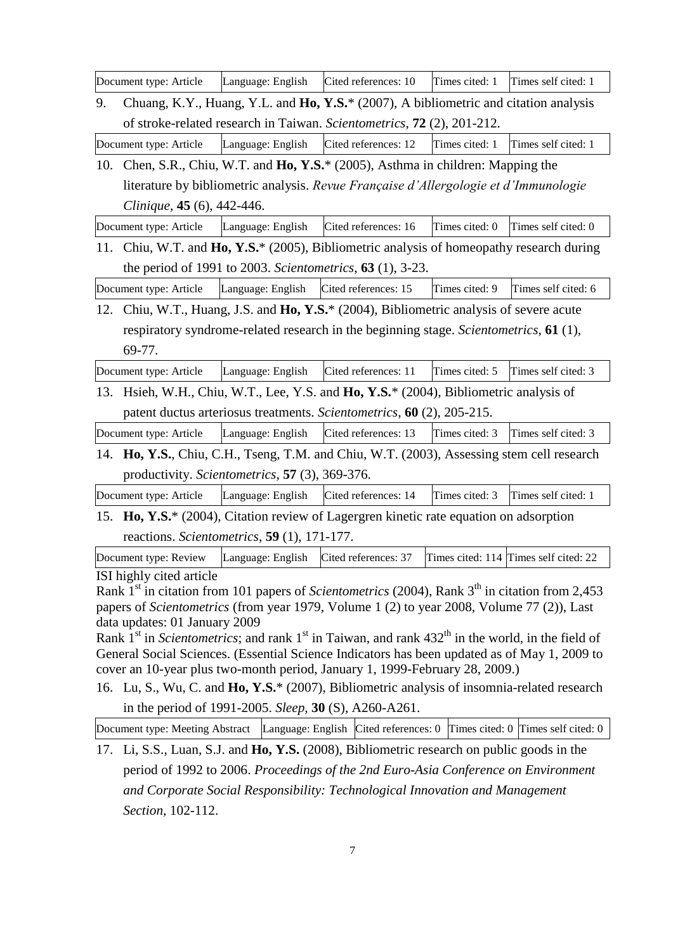|                                                                                                                                                                                                                            | Document type: Article                                                                                | Language: English                              | Cited references: 10                                                                 | Times cited: 1 | Times self cited: 1                   |  |  |  |
|----------------------------------------------------------------------------------------------------------------------------------------------------------------------------------------------------------------------------|-------------------------------------------------------------------------------------------------------|------------------------------------------------|--------------------------------------------------------------------------------------|----------------|---------------------------------------|--|--|--|
| 9.                                                                                                                                                                                                                         |                                                                                                       |                                                | Chuang, K.Y., Huang, Y.L. and Ho, Y.S.* (2007), A bibliometric and citation analysis |                |                                       |  |  |  |
|                                                                                                                                                                                                                            |                                                                                                       |                                                | of stroke-related research in Taiwan. Scientometrics, 72 (2), 201-212.               |                |                                       |  |  |  |
|                                                                                                                                                                                                                            | Document type: Article                                                                                | Language: English                              | Cited references: 12                                                                 | Times cited: 1 | Times self cited: 1                   |  |  |  |
| 10.                                                                                                                                                                                                                        |                                                                                                       |                                                | Chen, S.R., Chiu, W.T. and Ho, Y.S.* (2005), Asthma in children: Mapping the         |                |                                       |  |  |  |
|                                                                                                                                                                                                                            |                                                                                                       |                                                | literature by bibliometric analysis. Revue Française d'Allergologie et d'Immunologie |                |                                       |  |  |  |
|                                                                                                                                                                                                                            | Clinique, 45 (6), 442-446.                                                                            |                                                |                                                                                      |                |                                       |  |  |  |
|                                                                                                                                                                                                                            | Document type: Article                                                                                | Language: English                              | Cited references: 16                                                                 | Times cited: 0 | Times self cited: 0                   |  |  |  |
| 11.                                                                                                                                                                                                                        | Chiu, W.T. and $\text{Ho}, \text{Y.S.}^*$ (2005), Bibliometric analysis of homeopathy research during |                                                |                                                                                      |                |                                       |  |  |  |
|                                                                                                                                                                                                                            |                                                                                                       |                                                | the period of 1991 to 2003. Scientometrics, $63$ (1), 3-23.                          |                |                                       |  |  |  |
|                                                                                                                                                                                                                            | Document type: Article                                                                                | Language: English                              | Cited references: 15                                                                 | Times cited: 9 | Times self cited: 6                   |  |  |  |
|                                                                                                                                                                                                                            | Chiu, W.T., Huang, J.S. and Ho, Y.S.* (2004), Bibliometric analysis of severe acute<br>12.            |                                                |                                                                                      |                |                                       |  |  |  |
|                                                                                                                                                                                                                            | respiratory syndrome-related research in the beginning stage. Scientometrics, 61 (1),                 |                                                |                                                                                      |                |                                       |  |  |  |
|                                                                                                                                                                                                                            | 69-77.                                                                                                |                                                |                                                                                      |                |                                       |  |  |  |
|                                                                                                                                                                                                                            | Document type: Article                                                                                | Language: English                              | Cited references: 11                                                                 | Times cited: 5 | Times self cited: 3                   |  |  |  |
|                                                                                                                                                                                                                            | 13. Hsieh, W.H., Chiu, W.T., Lee, Y.S. and Ho, Y.S.* (2004), Bibliometric analysis of                 |                                                |                                                                                      |                |                                       |  |  |  |
|                                                                                                                                                                                                                            |                                                                                                       |                                                | patent ductus arteriosus treatments. Scientometrics, 60 (2), 205-215.                |                |                                       |  |  |  |
|                                                                                                                                                                                                                            | Document type: Article                                                                                | Language: English                              | Cited references: 13                                                                 | Times cited: 3 | Times self cited: 3                   |  |  |  |
|                                                                                                                                                                                                                            | 14. Ho, Y.S., Chiu, C.H., Tseng, T.M. and Chiu, W.T. (2003), Assessing stem cell research             |                                                |                                                                                      |                |                                       |  |  |  |
|                                                                                                                                                                                                                            |                                                                                                       | productivity. Scientometrics, 57 (3), 369-376. |                                                                                      |                |                                       |  |  |  |
|                                                                                                                                                                                                                            | Document type: Article                                                                                | Language: English                              | Cited references: 14                                                                 | Times cited: 3 | Times self cited: 1                   |  |  |  |
| 15.                                                                                                                                                                                                                        | $\mathbf{H_0, Y.S.}^*$ (2004), Citation review of Lagergren kinetic rate equation on adsorption       |                                                |                                                                                      |                |                                       |  |  |  |
| reactions. Scientometrics, 59 (1), 171-177.                                                                                                                                                                                |                                                                                                       |                                                |                                                                                      |                |                                       |  |  |  |
|                                                                                                                                                                                                                            | Document type: Review                                                                                 | Language: English                              | Cited references: 37                                                                 |                | Times cited: 114 Times self cited: 22 |  |  |  |
| ISI highly cited article                                                                                                                                                                                                   |                                                                                                       |                                                |                                                                                      |                |                                       |  |  |  |
| Rank 1 <sup>st</sup> in citation from 101 papers of <i>Scientometrics</i> (2004), Rank 3 <sup>th</sup> in citation from 2,453<br>papers of Scientometrics (from year 1979, Volume 1 (2) to year 2008, Volume 77 (2)), Last |                                                                                                       |                                                |                                                                                      |                |                                       |  |  |  |
| data updates: 01 January 2009                                                                                                                                                                                              |                                                                                                       |                                                |                                                                                      |                |                                       |  |  |  |
| Rank $1st$ in <i>Scientometrics</i> ; and rank $1st$ in Taiwan, and rank 432 <sup>th</sup> in the world, in the field of                                                                                                   |                                                                                                       |                                                |                                                                                      |                |                                       |  |  |  |
| General Social Sciences. (Essential Science Indicators has been updated as of May 1, 2009 to<br>cover an 10-year plus two-month period, January 1, 1999-February 28, 2009.)                                                |                                                                                                       |                                                |                                                                                      |                |                                       |  |  |  |
| 16. Lu, S., Wu, C. and Ho, Y.S.* (2007), Bibliometric analysis of insomnia-related research                                                                                                                                |                                                                                                       |                                                |                                                                                      |                |                                       |  |  |  |
| in the period of 1991-2005. Sleep, 30 (S), A260-A261.                                                                                                                                                                      |                                                                                                       |                                                |                                                                                      |                |                                       |  |  |  |
| Language: English Cited references: $0$ Times cited: $0$ Times self cited: $0$<br>Document type: Meeting Abstract                                                                                                          |                                                                                                       |                                                |                                                                                      |                |                                       |  |  |  |
| 17. Li, S.S., Luan, S.J. and Ho, Y.S. (2008), Bibliometric research on public goods in the                                                                                                                                 |                                                                                                       |                                                |                                                                                      |                |                                       |  |  |  |
|                                                                                                                                                                                                                            | period of 1992 to 2006. Proceedings of the 2nd Euro-Asia Conference on Environment                    |                                                |                                                                                      |                |                                       |  |  |  |
|                                                                                                                                                                                                                            |                                                                                                       |                                                |                                                                                      |                |                                       |  |  |  |
|                                                                                                                                                                                                                            |                                                                                                       |                                                | and Corporate Social Responsibility: Technological Innovation and Management         |                |                                       |  |  |  |
|                                                                                                                                                                                                                            | Section, 102-112.                                                                                     |                                                |                                                                                      |                |                                       |  |  |  |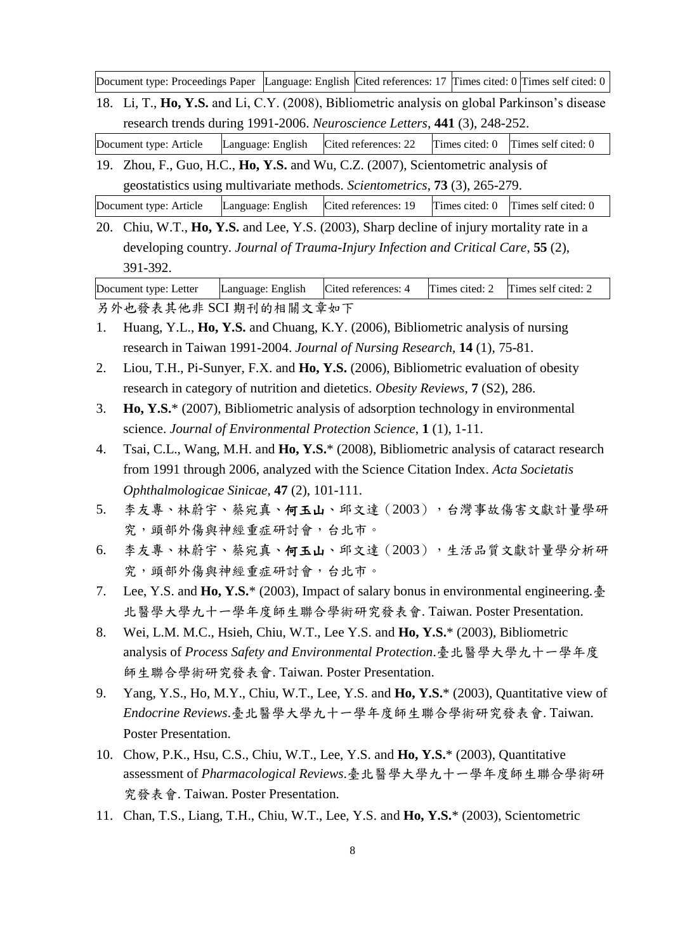Document type: Proceedings Paper Language: English Cited references: 17 Times cited: 0 Times self cited: 0

18. Li, T., **Ho, Y.S.** and Li, C.Y. (2008), Bibliometric analysis on global Parkinson's disease research trends during 1991-2006. *Neuroscience Letters*, **441** (3), 248-252.

Document type: Article Language: English Cited references: 22 Times cited: 0 Times self cited: 0

19. Zhou, F., Guo, H.C., **Ho, Y.S.** and Wu, C.Z. (2007), Scientometric analysis of geostatistics using multivariate methods. *Scientometrics*, **73** (3), 265-279.

Document type: Article Language: English Cited references: 19 Times cited: 0 Times self cited: 0

20. Chiu, W.T., **Ho, Y.S.** and Lee, Y.S. (2003), Sharp decline of injury mortality rate in a developing country. *Journal of Trauma-Injury Infection and Critical Care*, **55** (2), 391-392.

Document type: Letter Language: English Cited references: 4 Times cited: 2 Times self cited: 2

另外也發表其他非 SCI 期刊的相關文章如下

- 1. Huang, Y.L., **Ho, Y.S.** and Chuang, K.Y. (2006), Bibliometric analysis of nursing research in Taiwan 1991-2004. *Journal of Nursing Research*, **14** (1), 75-81.
- 2. Liou, T.H., Pi-Sunyer, F.X. and **Ho, Y.S.** (2006), Bibliometric evaluation of obesity research in category of nutrition and dietetics. *Obesity Reviews*, **7** (S2), 286.
- 3. **Ho, Y.S.**\* (2007), Bibliometric analysis of adsorption technology in environmental science. *Journal of Environmental Protection Science*, **1** (1), 1-11.
- 4. Tsai, C.L., Wang, M.H. and **Ho, Y.S.**\* (2008), Bibliometric analysis of cataract research from 1991 through 2006, analyzed with the Science Citation Index. *Acta Societatis Ophthalmologicae Sinicae*, **47** (2), 101-111.
- 5. 李友專、林蔚宇、蔡宛真、何玉山、邱文達 (2003), 台灣事故傷害文獻計量學研 究,頭部外傷與神經重症研討會,台北市。
- 6. 李友專、林蔚宇、蔡宛真、何玉山、邱文達(2003),生活品質文獻計量學分析研 究,頭部外傷與神經重症研討會,台北市。
- 7. Lee, Y.S. and **Ho, Y.S.**\* (2003), Impact of salary bonus in environmental engineering.臺 北醫學大學九十一學年度師生聯合學術研究發表會. Taiwan. Poster Presentation.
- 8. Wei, L.M. M.C., Hsieh, Chiu, W.T., Lee Y.S. and **Ho, Y.S.**\* (2003), Bibliometric analysis of *Process Safety and Environmental Protection*.臺北醫學大學九十一學年度 師生聯合學術研究發表會. Taiwan. Poster Presentation.
- 9. Yang, Y.S., Ho, M.Y., Chiu, W.T., Lee, Y.S. and **Ho, Y.S.**\* (2003), Quantitative view of *Endocrine Reviews*.臺北醫學大學九十一學年度師生聯合學術研究發表會. Taiwan. Poster Presentation.
- 10. Chow, P.K., Hsu, C.S., Chiu, W.T., Lee, Y.S. and **Ho, Y.S.**\* (2003), Quantitative assessment of *Pharmacological Reviews*.臺北醫學大學九十一學年度師生聯合學術研 究發表會. Taiwan. Poster Presentation.
- 11. Chan, T.S., Liang, T.H., Chiu, W.T., Lee, Y.S. and **Ho, Y.S.**\* (2003), Scientometric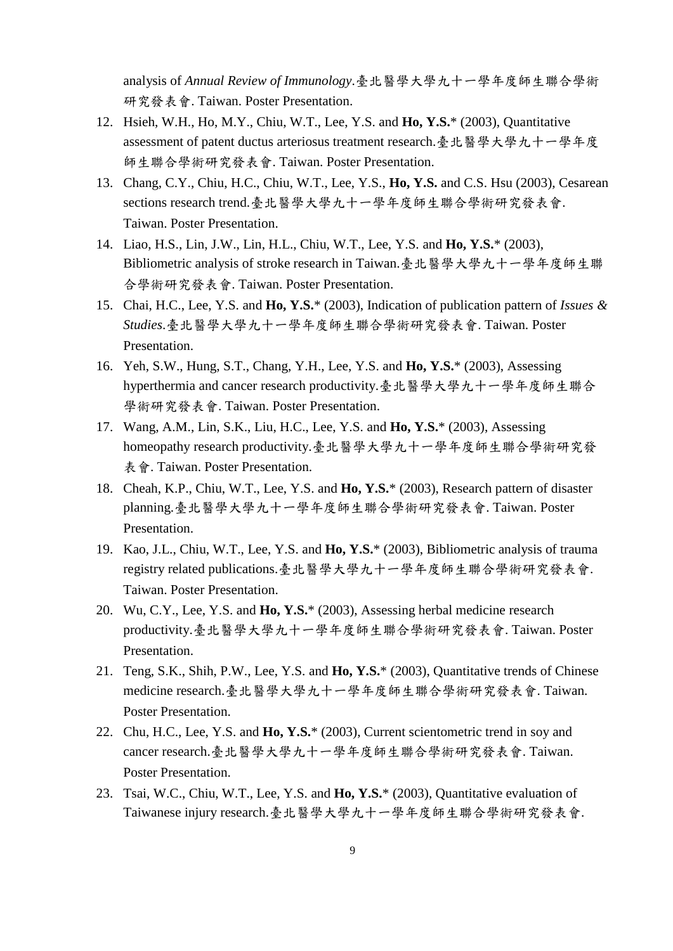analysis of *Annual Review of Immunology*.臺北醫學大學九十一學年度師生聯合學術 研究發表會. Taiwan. Poster Presentation.

- 12. Hsieh, W.H., Ho, M.Y., Chiu, W.T., Lee, Y.S. and **Ho, Y.S.**\* (2003), Quantitative assessment of patent ductus arteriosus treatment research.臺北醫學大學九十一學年度 師生聯合學術研究發表會. Taiwan. Poster Presentation.
- 13. Chang, C.Y., Chiu, H.C., Chiu, W.T., Lee, Y.S., **Ho, Y.S.** and C.S. Hsu (2003), Cesarean sections research trend.臺北醫學大學九十一學年度師生聯合學術研究發表會. Taiwan. Poster Presentation.
- 14. Liao, H.S., Lin, J.W., Lin, H.L., Chiu, W.T., Lee, Y.S. and **Ho, Y.S.**\* (2003), Bibliometric analysis of stroke research in Taiwan.臺北醫學大學九十一學年度師生聯 合學術研究發表會. Taiwan. Poster Presentation.
- 15. Chai, H.C., Lee, Y.S. and **Ho, Y.S.**\* (2003), Indication of publication pattern of *Issues & Studies*.臺北醫學大學九十一學年度師生聯合學術研究發表會. Taiwan. Poster Presentation.
- 16. Yeh, S.W., Hung, S.T., Chang, Y.H., Lee, Y.S. and **Ho, Y.S.**\* (2003), Assessing hyperthermia and cancer research productivity.臺北醫學大學九十一學年度師生聯合 學術研究發表會. Taiwan. Poster Presentation.
- 17. Wang, A.M., Lin, S.K., Liu, H.C., Lee, Y.S. and **Ho, Y.S.**\* (2003), Assessing homeopathy research productivity.臺北醫學大學九十一學年度師生聯合學術研究發 表會. Taiwan. Poster Presentation.
- 18. Cheah, K.P., Chiu, W.T., Lee, Y.S. and **Ho, Y.S.**\* (2003), Research pattern of disaster planning.臺北醫學大學九十一學年度師生聯合學術研究發表會. Taiwan. Poster Presentation.
- 19. Kao, J.L., Chiu, W.T., Lee, Y.S. and **Ho, Y.S.**\* (2003), Bibliometric analysis of trauma registry related publications.臺北醫學大學九十一學年度師生聯合學術研究發表會. Taiwan. Poster Presentation.
- 20. Wu, C.Y., Lee, Y.S. and **Ho, Y.S.**\* (2003), Assessing herbal medicine research productivity.臺北醫學大學九十一學年度師生聯合學術研究發表會. Taiwan. Poster Presentation.
- 21. Teng, S.K., Shih, P.W., Lee, Y.S. and **Ho, Y.S.**\* (2003), Quantitative trends of Chinese medicine research.臺北醫學大學九十一學年度師生聯合學術研究發表會. Taiwan. Poster Presentation.
- 22. Chu, H.C., Lee, Y.S. and **Ho, Y.S.**\* (2003), Current scientometric trend in soy and cancer research.臺北醫學大學九十一學年度師生聯合學術研究發表會. Taiwan. Poster Presentation.
- 23. Tsai, W.C., Chiu, W.T., Lee, Y.S. and **Ho, Y.S.**\* (2003), Quantitative evaluation of Taiwanese injury research.臺北醫學大學九十一學年度師生聯合學術研究發表會.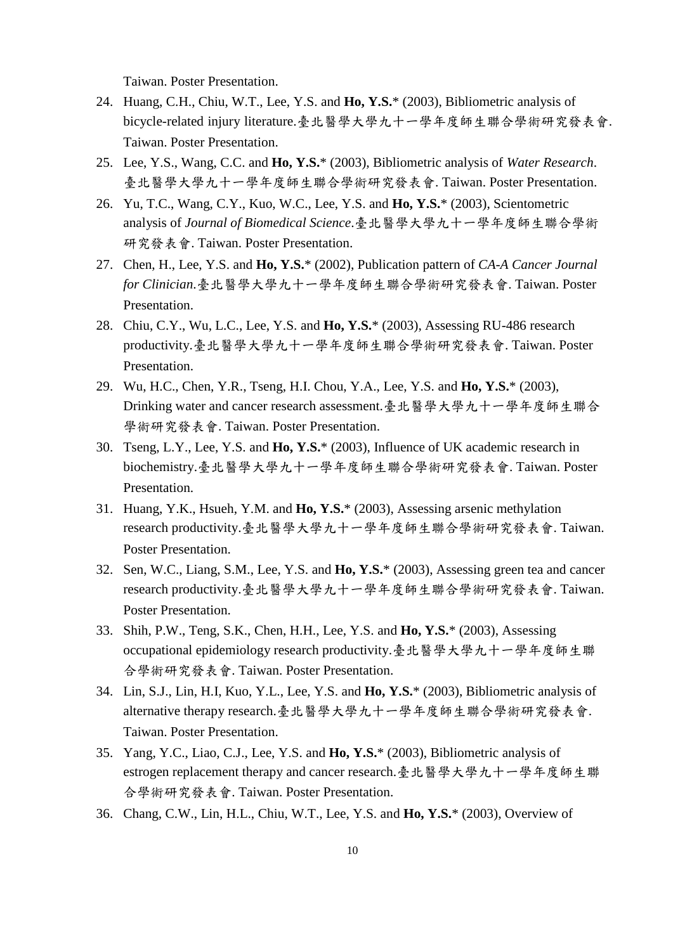Taiwan. Poster Presentation.

- 24. Huang, C.H., Chiu, W.T., Lee, Y.S. and **Ho, Y.S.**\* (2003), Bibliometric analysis of bicycle-related injury literature.臺北醫學大學九十一學年度師生聯合學術研究發表會. Taiwan. Poster Presentation.
- 25. Lee, Y.S., Wang, C.C. and **Ho, Y.S.**\* (2003), Bibliometric analysis of *Water Research*. 臺北醫學大學九十一學年度師生聯合學術研究發表會. Taiwan. Poster Presentation.
- 26. Yu, T.C., Wang, C.Y., Kuo, W.C., Lee, Y.S. and **Ho, Y.S.**\* (2003), Scientometric analysis of *Journal of Biomedical Science*.臺北醫學大學九十一學年度師生聯合學術 研究發表會. Taiwan. Poster Presentation.
- 27. Chen, H., Lee, Y.S. and **Ho, Y.S.**\* (2002), Publication pattern of *CA-A Cancer Journal for Clinician*.臺北醫學大學九十一學年度師生聯合學術研究發表會. Taiwan. Poster Presentation.
- 28. Chiu, C.Y., Wu, L.C., Lee, Y.S. and **Ho, Y.S.**\* (2003), Assessing RU-486 research productivity.臺北醫學大學九十一學年度師生聯合學術研究發表會. Taiwan. Poster Presentation.
- 29. Wu, H.C., Chen, Y.R., Tseng, H.I. Chou, Y.A., Lee, Y.S. and **Ho, Y.S.**\* (2003), Drinking water and cancer research assessment.臺北醫學大學九十一學年度師生聯合 學術研究發表會. Taiwan. Poster Presentation.
- 30. Tseng, L.Y., Lee, Y.S. and **Ho, Y.S.**\* (2003), Influence of UK academic research in biochemistry.臺北醫學大學九十一學年度師生聯合學術研究發表會. Taiwan. Poster Presentation.
- 31. Huang, Y.K., Hsueh, Y.M. and **Ho, Y.S.**\* (2003), Assessing arsenic methylation research productivity.臺北醫學大學九十一學年度師生聯合學術研究發表會. Taiwan. Poster Presentation.
- 32. Sen, W.C., Liang, S.M., Lee, Y.S. and **Ho, Y.S.**\* (2003), Assessing green tea and cancer research productivity.臺北醫學大學九十一學年度師生聯合學術研究發表會. Taiwan. Poster Presentation.
- 33. Shih, P.W., Teng, S.K., Chen, H.H., Lee, Y.S. and **Ho, Y.S.**\* (2003), Assessing occupational epidemiology research productivity.臺北醫學大學九十一學年度師生聯 合學術研究發表會. Taiwan. Poster Presentation.
- 34. Lin, S.J., Lin, H.I, Kuo, Y.L., Lee, Y.S. and **Ho, Y.S.**\* (2003), Bibliometric analysis of alternative therapy research.臺北醫學大學九十一學年度師生聯合學術研究發表會. Taiwan. Poster Presentation.
- 35. Yang, Y.C., Liao, C.J., Lee, Y.S. and **Ho, Y.S.**\* (2003), Bibliometric analysis of estrogen replacement therapy and cancer research.臺北醫學大學九十一學年度師生聯 合學術研究發表會. Taiwan. Poster Presentation.
- 36. Chang, C.W., Lin, H.L., Chiu, W.T., Lee, Y.S. and **Ho, Y.S.**\* (2003), Overview of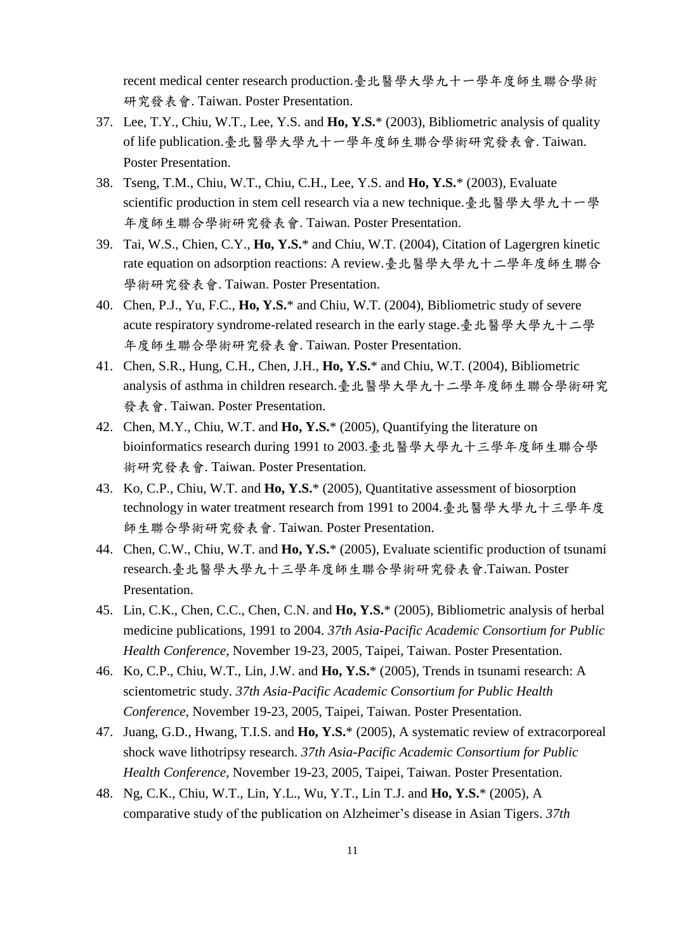recent medical center research production.臺北醫學大學九十一學年度師生聯合學術 研究發表會. Taiwan. Poster Presentation.

- 37. Lee, T.Y., Chiu, W.T., Lee, Y.S. and **Ho, Y.S.**\* (2003), Bibliometric analysis of quality of life publication.臺北醫學大學九十一學年度師生聯合學術研究發表會. Taiwan. Poster Presentation.
- 38. Tseng, T.M., Chiu, W.T., Chiu, C.H., Lee, Y.S. and **Ho, Y.S.**\* (2003), Evaluate scientific production in stem cell research via a new technique.臺北醫學大學九十一學 年度師生聯合學術研究發表會. Taiwan. Poster Presentation.
- 39. Tai, W.S., Chien, C.Y., **Ho, Y.S.**\* and Chiu, W.T. (2004), Citation of Lagergren kinetic rate equation on adsorption reactions: A review.臺北醫學大學九十二學年度師生聯合 學術研究發表會. Taiwan. Poster Presentation.
- 40. Chen, P.J., Yu, F.C., **Ho, Y.S.**\* and Chiu, W.T. (2004), Bibliometric study of severe acute respiratory syndrome-related research in the early stage.臺北醫學大學九十二學 年度師生聯合學術研究發表會. Taiwan. Poster Presentation.
- 41. Chen, S.R., Hung, C.H., Chen, J.H., **Ho, Y.S.**\* and Chiu, W.T. (2004), Bibliometric analysis of asthma in children research.臺北醫學大學九十二學年度師生聯合學術研究 發表會. Taiwan. Poster Presentation.
- 42. Chen, M.Y., Chiu, W.T. and **Ho, Y.S.**\* (2005), Quantifying the literature on bioinformatics research during 1991 to 2003.臺北醫學大學九十三學年度師生聯合學 術研究發表會. Taiwan. Poster Presentation.
- 43. Ko, C.P., Chiu, W.T. and **Ho, Y.S.**\* (2005), Quantitative assessment of biosorption technology in water treatment research from 1991 to 2004.臺北醫學大學九十三學年度 師生聯合學術研究發表會. Taiwan. Poster Presentation.
- 44. Chen, C.W., Chiu, W.T. and **Ho, Y.S.**\* (2005), Evaluate scientific production of tsunami research.臺北醫學大學九十三學年度師生聯合學術研究發表會.Taiwan. Poster Presentation.
- 45. Lin, C.K., Chen, C.C., Chen, C.N. and **Ho, Y.S.**\* (2005), Bibliometric analysis of herbal medicine publications, 1991 to 2004. *37th Asia-Pacific Academic Consortium for Public Health Conference*, November 19-23, 2005, Taipei, Taiwan. Poster Presentation.
- 46. Ko, C.P., Chiu, W.T., Lin, J.W. and **Ho, Y.S.**\* (2005), Trends in tsunami research: A scientometric study. *37th Asia-Pacific Academic Consortium for Public Health Conference*, November 19-23, 2005, Taipei, Taiwan. Poster Presentation.
- 47. Juang, G.D., Hwang, T.I.S. and **Ho, Y.S.**\* (2005), A systematic review of extracorporeal shock wave lithotripsy research. *37th Asia-Pacific Academic Consortium for Public Health Conference*, November 19-23, 2005, Taipei, Taiwan. Poster Presentation.
- 48. Ng, C.K., Chiu, W.T., Lin, Y.L., Wu, Y.T., Lin T.J. and **Ho, Y.S.**\* (2005), A comparative study of the publication on Alzheimer's disease in Asian Tigers. *37th*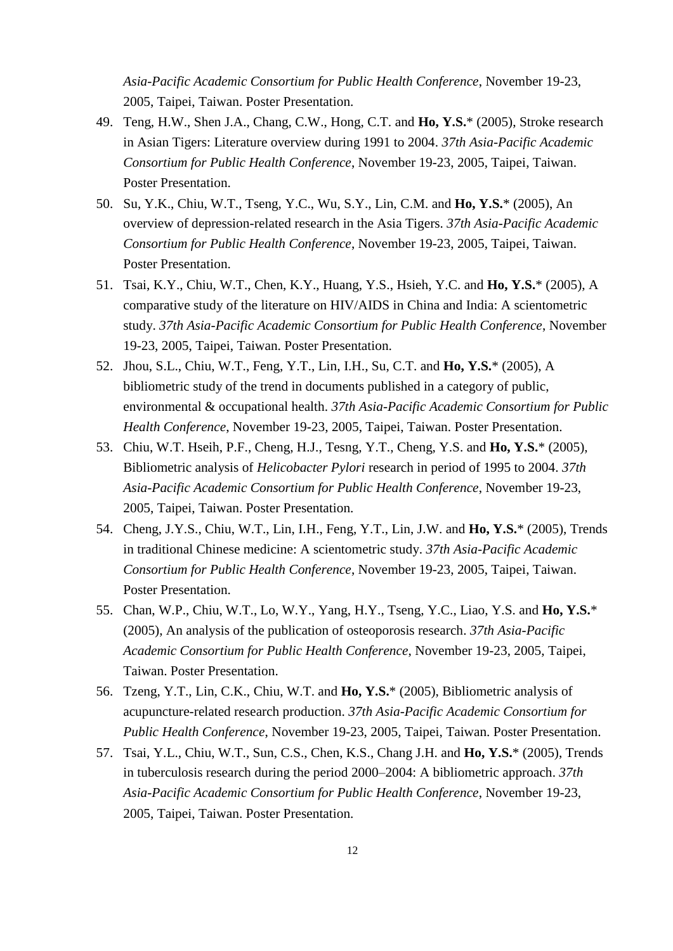*Asia-Pacific Academic Consortium for Public Health Conference*, November 19-23, 2005, Taipei, Taiwan. Poster Presentation.

- 49. Teng, H.W., Shen J.A., Chang, C.W., Hong, C.T. and **Ho, Y.S.**\* (2005), Stroke research in Asian Tigers: Literature overview during 1991 to 2004. *37th Asia-Pacific Academic Consortium for Public Health Conference*, November 19-23, 2005, Taipei, Taiwan. Poster Presentation.
- 50. Su, Y.K., Chiu, W.T., Tseng, Y.C., Wu, S.Y., Lin, C.M. and **Ho, Y.S.**\* (2005), An overview of depression-related research in the Asia Tigers. *37th Asia-Pacific Academic Consortium for Public Health Conference*, November 19-23, 2005, Taipei, Taiwan. Poster Presentation.
- 51. Tsai, K.Y., Chiu, W.T., Chen, K.Y., Huang, Y.S., Hsieh, Y.C. and **Ho, Y.S.**\* (2005), A comparative study of the literature on HIV/AIDS in China and India: A scientometric study. *37th Asia-Pacific Academic Consortium for Public Health Conference*, November 19-23, 2005, Taipei, Taiwan. Poster Presentation.
- 52. Jhou, S.L., Chiu, W.T., Feng, Y.T., Lin, I.H., Su, C.T. and **Ho, Y.S.**\* (2005), A bibliometric study of the trend in documents published in a category of public, environmental & occupational health. *37th Asia-Pacific Academic Consortium for Public Health Conference*, November 19-23, 2005, Taipei, Taiwan. Poster Presentation.
- 53. Chiu, W.T. Hseih, P.F., Cheng, H.J., Tesng, Y.T., Cheng, Y.S. and **Ho, Y.S.**\* (2005), Bibliometric analysis of *Helicobacter Pylori* research in period of 1995 to 2004. *37th Asia-Pacific Academic Consortium for Public Health Conference*, November 19-23, 2005, Taipei, Taiwan. Poster Presentation.
- 54. Cheng, J.Y.S., Chiu, W.T., Lin, I.H., Feng, Y.T., Lin, J.W. and **Ho, Y.S.**\* (2005), Trends in traditional Chinese medicine: A scientometric study. *37th Asia-Pacific Academic Consortium for Public Health Conference*, November 19-23, 2005, Taipei, Taiwan. Poster Presentation.
- 55. Chan, W.P., Chiu, W.T., Lo, W.Y., Yang, H.Y., Tseng, Y.C., Liao, Y.S. and **Ho, Y.S.**\* (2005), An analysis of the publication of osteoporosis research. *37th Asia-Pacific Academic Consortium for Public Health Conference*, November 19-23, 2005, Taipei, Taiwan. Poster Presentation.
- 56. Tzeng, Y.T., Lin, C.K., Chiu, W.T. and **Ho, Y.S.**\* (2005), Bibliometric analysis of acupuncture-related research production. *37th Asia-Pacific Academic Consortium for Public Health Conference*, November 19-23, 2005, Taipei, Taiwan. Poster Presentation.
- 57. Tsai, Y.L., Chiu, W.T., Sun, C.S., Chen, K.S., Chang J.H. and **Ho, Y.S.**\* (2005), Trends in tuberculosis research during the period 2000–2004: A bibliometric approach. *37th Asia-Pacific Academic Consortium for Public Health Conference*, November 19-23, 2005, Taipei, Taiwan. Poster Presentation.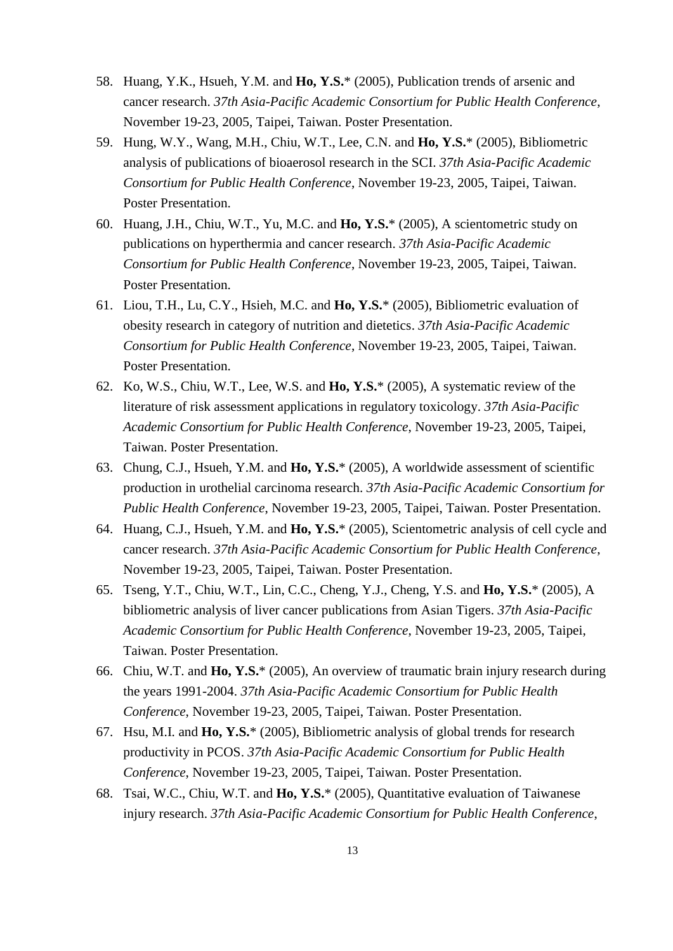- 58. Huang, Y.K., Hsueh, Y.M. and **Ho, Y.S.**\* (2005), Publication trends of arsenic and cancer research. *37th Asia-Pacific Academic Consortium for Public Health Conference*, November 19-23, 2005, Taipei, Taiwan. Poster Presentation.
- 59. Hung, W.Y., Wang, M.H., Chiu, W.T., Lee, C.N. and **Ho, Y.S.**\* (2005), Bibliometric analysis of publications of bioaerosol research in the SCI. *37th Asia-Pacific Academic Consortium for Public Health Conference*, November 19-23, 2005, Taipei, Taiwan. Poster Presentation.
- 60. Huang, J.H., Chiu, W.T., Yu, M.C. and **Ho, Y.S.**\* (2005), A scientometric study on publications on hyperthermia and cancer research. *37th Asia-Pacific Academic Consortium for Public Health Conference*, November 19-23, 2005, Taipei, Taiwan. Poster Presentation.
- 61. Liou, T.H., Lu, C.Y., Hsieh, M.C. and **Ho, Y.S.**\* (2005), Bibliometric evaluation of obesity research in category of nutrition and dietetics. *37th Asia-Pacific Academic Consortium for Public Health Conference*, November 19-23, 2005, Taipei, Taiwan. Poster Presentation.
- 62. Ko, W.S., Chiu, W.T., Lee, W.S. and **Ho, Y.S.**\* (2005), A systematic review of the literature of risk assessment applications in regulatory toxicology. *37th Asia-Pacific Academic Consortium for Public Health Conference*, November 19-23, 2005, Taipei, Taiwan. Poster Presentation.
- 63. Chung, C.J., Hsueh, Y.M. and **Ho, Y.S.**\* (2005), A worldwide assessment of scientific production in urothelial carcinoma research. *37th Asia-Pacific Academic Consortium for Public Health Conference*, November 19-23, 2005, Taipei, Taiwan. Poster Presentation.
- 64. Huang, C.J., Hsueh, Y.M. and **Ho, Y.S.**\* (2005), Scientometric analysis of cell cycle and cancer research. *37th Asia-Pacific Academic Consortium for Public Health Conference*, November 19-23, 2005, Taipei, Taiwan. Poster Presentation.
- 65. Tseng, Y.T., Chiu, W.T., Lin, C.C., Cheng, Y.J., Cheng, Y.S. and **Ho, Y.S.**\* (2005), A bibliometric analysis of liver cancer publications from Asian Tigers. *37th Asia-Pacific Academic Consortium for Public Health Conference*, November 19-23, 2005, Taipei, Taiwan. Poster Presentation.
- 66. Chiu, W.T. and **Ho, Y.S.**\* (2005), An overview of traumatic brain injury research during the years 1991-2004. *37th Asia-Pacific Academic Consortium for Public Health Conference*, November 19-23, 2005, Taipei, Taiwan. Poster Presentation.
- 67. Hsu, M.I. and **Ho, Y.S.**\* (2005), Bibliometric analysis of global trends for research productivity in PCOS. *37th Asia-Pacific Academic Consortium for Public Health Conference*, November 19-23, 2005, Taipei, Taiwan. Poster Presentation.
- 68. Tsai, W.C., Chiu, W.T. and **Ho, Y.S.**\* (2005), Quantitative evaluation of Taiwanese injury research. *37th Asia-Pacific Academic Consortium for Public Health Conference*,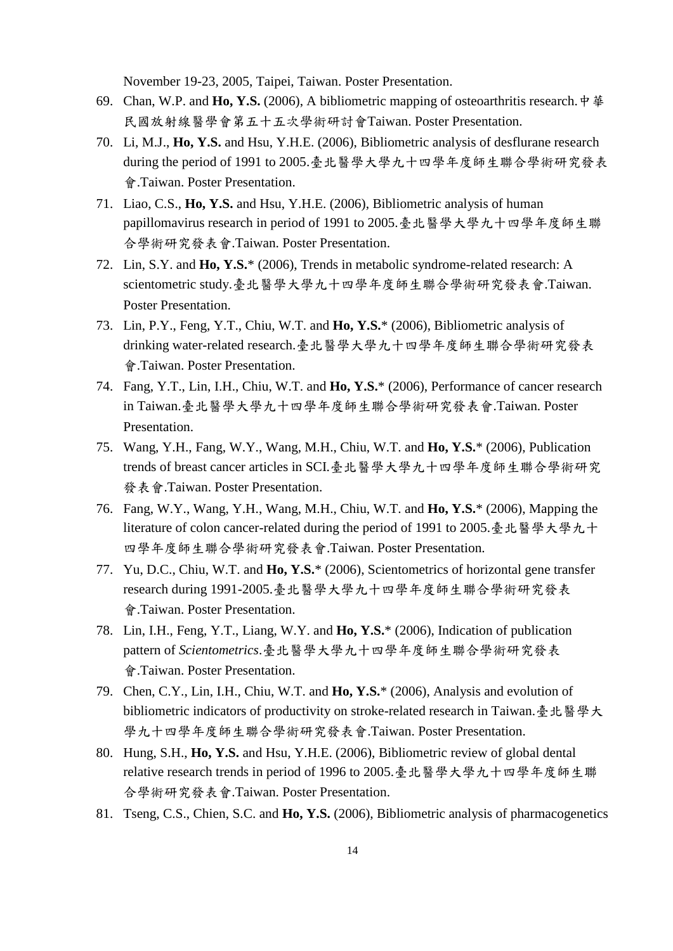November 19-23, 2005, Taipei, Taiwan. Poster Presentation.

- 69. Chan, W.P. and **Ho, Y.S.** (2006), A bibliometric mapping of osteoarthritis research.中華 民國放射線醫學會第五十五次學術研討會Taiwan. Poster Presentation.
- 70. Li, M.J., **Ho, Y.S.** and Hsu, Y.H.E. (2006), Bibliometric analysis of desflurane research during the period of 1991 to 2005.臺北醫學大學九十四學年度師生聯合學術研究發表 會.Taiwan. Poster Presentation.
- 71. Liao, C.S., **Ho, Y.S.** and Hsu, Y.H.E. (2006), Bibliometric analysis of human papillomavirus research in period of 1991 to 2005.臺北醫學大學九十四學年度師生聯 合學術研究發表會.Taiwan. Poster Presentation.
- 72. Lin, S.Y. and **Ho, Y.S.**\* (2006), Trends in metabolic syndrome-related research: A scientometric study.臺北醫學大學九十四學年度師生聯合學術研究發表會.Taiwan. Poster Presentation.
- 73. Lin, P.Y., Feng, Y.T., Chiu, W.T. and **Ho, Y.S.**\* (2006), Bibliometric analysis of drinking water-related research.臺北醫學大學九十四學年度師生聯合學術研究發表 會.Taiwan. Poster Presentation.
- 74. Fang, Y.T., Lin, I.H., Chiu, W.T. and **Ho, Y.S.**\* (2006), Performance of cancer research in Taiwan.臺北醫學大學九十四學年度師生聯合學術研究發表會.Taiwan. Poster Presentation.
- 75. Wang, Y.H., Fang, W.Y., Wang, M.H., Chiu, W.T. and **Ho, Y.S.**\* (2006), Publication trends of breast cancer articles in SCI.臺北醫學大學九十四學年度師生聯合學術研究 發表會.Taiwan. Poster Presentation.
- 76. Fang, W.Y., Wang, Y.H., Wang, M.H., Chiu, W.T. and **Ho, Y.S.**\* (2006), Mapping the literature of colon cancer-related during the period of 1991 to 2005.臺北醫學大學九十 四學年度師生聯合學術研究發表會.Taiwan. Poster Presentation.
- 77. Yu, D.C., Chiu, W.T. and **Ho, Y.S.**\* (2006), Scientometrics of horizontal gene transfer research during 1991-2005.臺北醫學大學九十四學年度師生聯合學術研究發表 會.Taiwan. Poster Presentation.
- 78. Lin, I.H., Feng, Y.T., Liang, W.Y. and **Ho, Y.S.**\* (2006), Indication of publication pattern of *Scientometrics*.臺北醫學大學九十四學年度師生聯合學術研究發表 會.Taiwan. Poster Presentation.
- 79. Chen, C.Y., Lin, I.H., Chiu, W.T. and **Ho, Y.S.**\* (2006), Analysis and evolution of bibliometric indicators of productivity on stroke-related research in Taiwan.臺北醫學大 學九十四學年度師生聯合學術研究發表會.Taiwan. Poster Presentation.
- 80. Hung, S.H., **Ho, Y.S.** and Hsu, Y.H.E. (2006), Bibliometric review of global dental relative research trends in period of 1996 to 2005.臺北醫學大學九十四學年度師生聯 合學術研究發表會.Taiwan. Poster Presentation.
- 81. Tseng, C.S., Chien, S.C. and **Ho, Y.S.** (2006), Bibliometric analysis of pharmacogenetics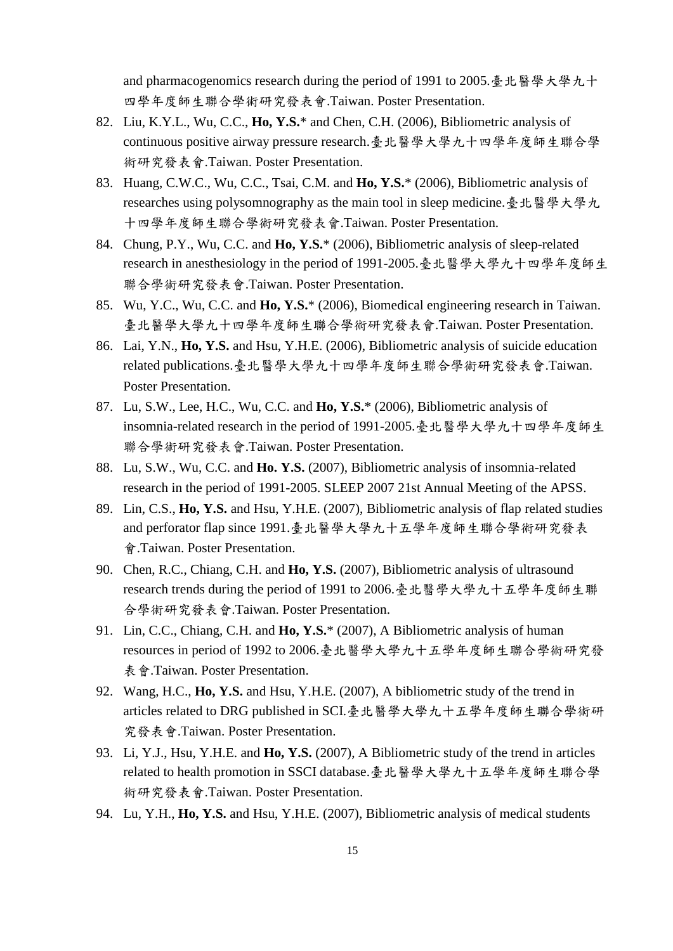and pharmacogenomics research during the period of 1991 to 2005.臺北醫學大學九十 四學年度師生聯合學術研究發表會.Taiwan. Poster Presentation.

- 82. Liu, K.Y.L., Wu, C.C., **Ho, Y.S.**\* and Chen, C.H. (2006), Bibliometric analysis of continuous positive airway pressure research.臺北醫學大學九十四學年度師生聯合學 術研究發表會.Taiwan. Poster Presentation.
- 83. Huang, C.W.C., Wu, C.C., Tsai, C.M. and **Ho, Y.S.**\* (2006), Bibliometric analysis of researches using polysomnography as the main tool in sleep medicine.臺北醫學大學九 十四學年度師生聯合學術研究發表會.Taiwan. Poster Presentation.
- 84. Chung, P.Y., Wu, C.C. and **Ho, Y.S.**\* (2006), Bibliometric analysis of sleep-related research in anesthesiology in the period of 1991-2005.臺北醫學大學九十四學年度師生 聯合學術研究發表會.Taiwan. Poster Presentation.
- 85. Wu, Y.C., Wu, C.C. and **Ho, Y.S.**\* (2006), Biomedical engineering research in Taiwan. 臺北醫學大學九十四學年度師生聯合學術研究發表會.Taiwan. Poster Presentation.
- 86. Lai, Y.N., **Ho, Y.S.** and Hsu, Y.H.E. (2006), Bibliometric analysis of suicide education related publications.臺北醫學大學九十四學年度師生聯合學術研究發表會.Taiwan. Poster Presentation.
- 87. Lu, S.W., Lee, H.C., Wu, C.C. and **Ho, Y.S.**\* (2006), Bibliometric analysis of insomnia-related research in the period of 1991-2005.臺北醫學大學九十四學年度師生 聯合學術研究發表會.Taiwan. Poster Presentation.
- 88. Lu, S.W., Wu, C.C. and **Ho. Y.S.** (2007), Bibliometric analysis of insomnia-related research in the period of 1991-2005. SLEEP 2007 21st Annual Meeting of the APSS.
- 89. Lin, C.S., **Ho, Y.S.** and Hsu, Y.H.E. (2007), Bibliometric analysis of flap related studies and perforator flap since 1991.臺北醫學大學九十五學年度師生聯合學術研究發表 會.Taiwan. Poster Presentation.
- 90. Chen, R.C., Chiang, C.H. and **Ho, Y.S.** (2007), Bibliometric analysis of ultrasound research trends during the period of 1991 to 2006.臺北醫學大學九十五學年度師生聯 合學術研究發表會.Taiwan. Poster Presentation.
- 91. Lin, C.C., Chiang, C.H. and **Ho, Y.S.**\* (2007), A Bibliometric analysis of human resources in period of 1992 to 2006.臺北醫學大學九十五學年度師生聯合學術研究發 表會.Taiwan. Poster Presentation.
- 92. Wang, H.C., **Ho, Y.S.** and Hsu, Y.H.E. (2007), A bibliometric study of the trend in articles related to DRG published in SCI.臺北醫學大學九十五學年度師生聯合學術研 究發表會.Taiwan. Poster Presentation.
- 93. Li, Y.J., Hsu, Y.H.E. and **Ho, Y.S.** (2007), A Bibliometric study of the trend in articles related to health promotion in SSCI database.臺北醫學大學九十五學年度師生聯合學 術研究發表會.Taiwan. Poster Presentation.
- 94. Lu, Y.H., **Ho, Y.S.** and Hsu, Y.H.E. (2007), Bibliometric analysis of medical students